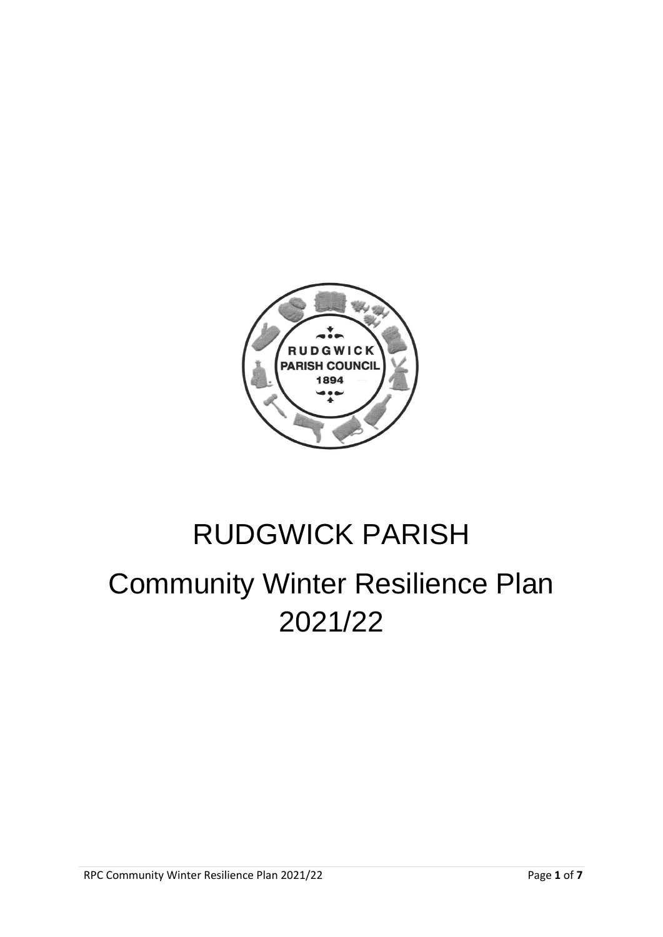

# RUDGWICK PARISH Community Winter Resilience Plan 2021/22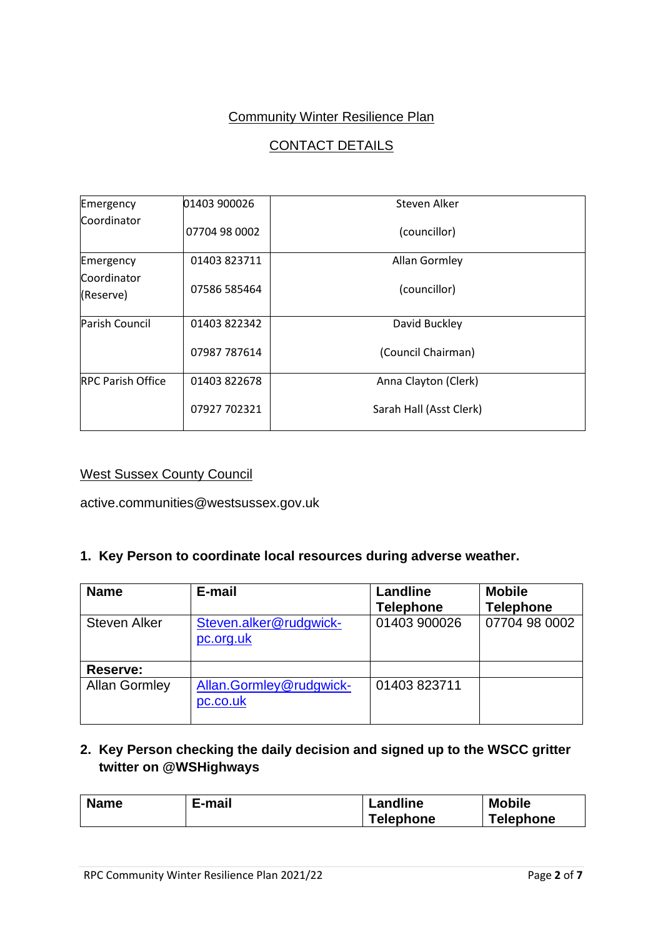# Community Winter Resilience Plan

### CONTACT DETAILS

| Emergency                | 01403 900026  | Steven Alker            |
|--------------------------|---------------|-------------------------|
| Coordinator              | 07704 98 0002 | (councillor)            |
| Emergency                | 01403 823711  | Allan Gormley           |
| Coordinator<br>(Reserve) | 07586 585464  | (councillor)            |
| Parish Council           | 01403 822342  | David Buckley           |
|                          | 07987 787614  | (Council Chairman)      |
| <b>RPC Parish Office</b> | 01403 822678  | Anna Clayton (Clerk)    |
|                          | 07927 702321  | Sarah Hall (Asst Clerk) |

#### West Sussex County Council

active.communities@westsussex.gov.uk

#### **1. Key Person to coordinate local resources during adverse weather.**

| <b>Name</b>          | E-mail                              | Landline<br><b>Telephone</b> | <b>Mobile</b><br><b>Telephone</b> |
|----------------------|-------------------------------------|------------------------------|-----------------------------------|
| <b>Steven Alker</b>  | Steven.alker@rudgwick-<br>pc.org.uk | 01403 900026                 | 07704 98 0002                     |
| Reserve:             |                                     |                              |                                   |
| <b>Allan Gormley</b> | Allan.Gormley@rudgwick-<br>pc.co.uk | 01403 823711                 |                                   |

# **2. Key Person checking the daily decision and signed up to the WSCC gritter twitter on @WSHighways**

| <b>Name</b> | E-mail | Landline         | <b>Mobile</b> |
|-------------|--------|------------------|---------------|
|             |        | <b>Telephone</b> | Telephone     |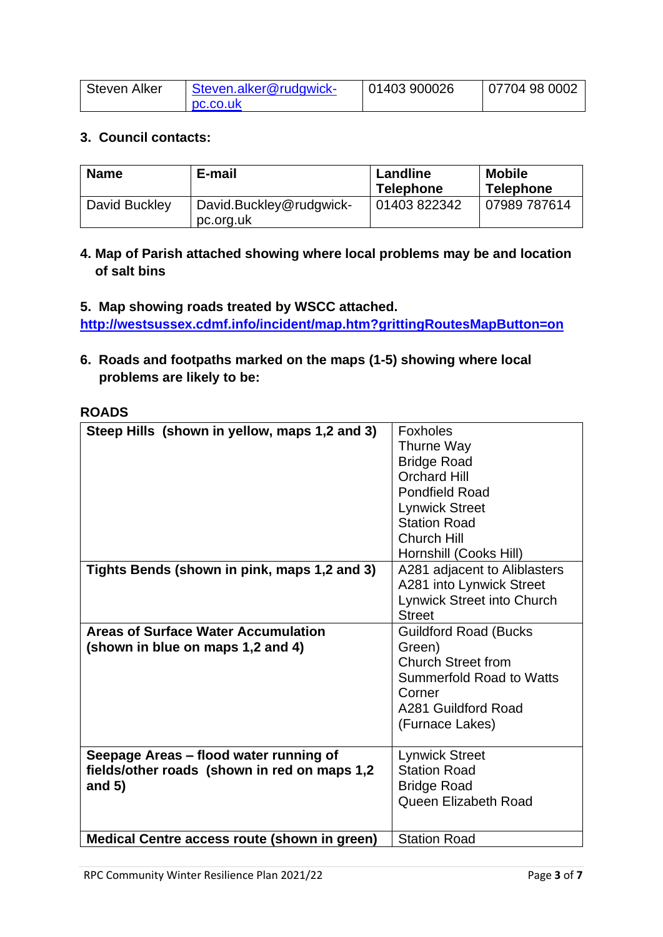| Steven Alker | Steven.alker@rudgwick- | 01403 900026 | 07704 98 0002 |
|--------------|------------------------|--------------|---------------|
|              | pc.co.uk               |              |               |

#### **3. Council contacts:**

| <b>Name</b>   | E-mail                               | Landline<br><b>Telephone</b> | <b>Mobile</b><br><b>Telephone</b> |
|---------------|--------------------------------------|------------------------------|-----------------------------------|
| David Buckley | David.Buckley@rudgwick-<br>pc.org.uk | 01403822342                  | 07989 787614                      |

**4. Map of Parish attached showing where local problems may be and location of salt bins**

**5. Map showing roads treated by WSCC attached. <http://westsussex.cdmf.info/incident/map.htm?grittingRoutesMapButton=on>**

**6. Roads and footpaths marked on the maps (1-5) showing where local problems are likely to be:**

#### **ROADS**

| Steep Hills (shown in yellow, maps 1,2 and 3)                                                      | <b>Foxholes</b><br>Thurne Way<br><b>Bridge Road</b><br><b>Orchard Hill</b><br><b>Pondfield Road</b><br><b>Lynwick Street</b><br><b>Station Road</b><br><b>Church Hill</b><br>Hornshill (Cooks Hill) |
|----------------------------------------------------------------------------------------------------|-----------------------------------------------------------------------------------------------------------------------------------------------------------------------------------------------------|
| Tights Bends (shown in pink, maps 1,2 and 3)                                                       | A281 adjacent to Aliblasters<br>A281 into Lynwick Street<br>Lynwick Street into Church<br><b>Street</b>                                                                                             |
| <b>Areas of Surface Water Accumulation</b><br>(shown in blue on maps 1,2 and 4)                    | <b>Guildford Road (Bucks)</b><br>Green)<br><b>Church Street from</b><br><b>Summerfold Road to Watts</b><br>Corner<br>A281 Guildford Road<br>(Furnace Lakes)                                         |
| Seepage Areas – flood water running of<br>fields/other roads (shown in red on maps 1,2<br>and $5)$ | <b>Lynwick Street</b><br><b>Station Road</b><br><b>Bridge Road</b><br><b>Queen Elizabeth Road</b>                                                                                                   |
| Medical Centre access route (shown in green)                                                       | <b>Station Road</b>                                                                                                                                                                                 |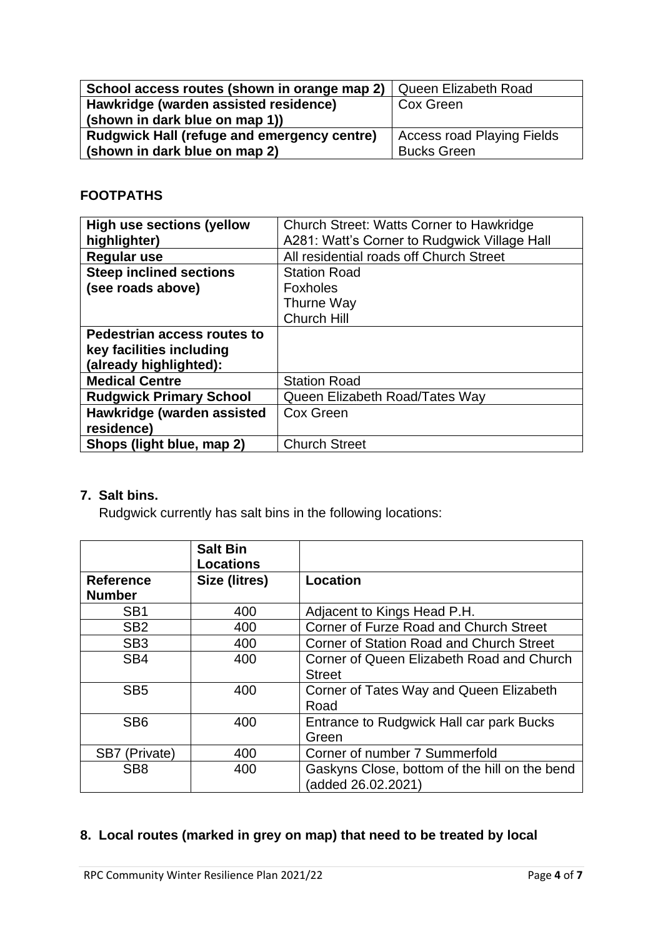| School access routes (shown in orange map 2)       | Queen Elizabeth Road       |
|----------------------------------------------------|----------------------------|
| Hawkridge (warden assisted residence)              | Cox Green                  |
| (shown in dark blue on map 1))                     |                            |
| <b>Rudgwick Hall (refuge and emergency centre)</b> | Access road Playing Fields |
| (shown in dark blue on map 2)                      | <b>Bucks Green</b>         |

#### **FOOTPATHS**

| <b>High use sections (yellow</b> | <b>Church Street: Watts Corner to Hawkridge</b> |
|----------------------------------|-------------------------------------------------|
| highlighter)                     | A281: Watt's Corner to Rudgwick Village Hall    |
| <b>Regular use</b>               | All residential roads off Church Street         |
| <b>Steep inclined sections</b>   | <b>Station Road</b>                             |
| (see roads above)                | <b>Foxholes</b>                                 |
|                                  | Thurne Way                                      |
|                                  | Church Hill                                     |
| Pedestrian access routes to      |                                                 |
| key facilities including         |                                                 |
| (already highlighted):           |                                                 |
| <b>Medical Centre</b>            | <b>Station Road</b>                             |
| <b>Rudgwick Primary School</b>   | Queen Elizabeth Road/Tates Way                  |
| Hawkridge (warden assisted       | Cox Green                                       |
| residence)                       |                                                 |
| Shops (light blue, map 2)        | <b>Church Street</b>                            |

# **7. Salt bins.**

Rudgwick currently has salt bins in the following locations:

|                  | <b>Salt Bin</b><br><b>Locations</b> |                                               |
|------------------|-------------------------------------|-----------------------------------------------|
| <b>Reference</b> | Size (litres)                       | <b>Location</b>                               |
| <b>Number</b>    |                                     |                                               |
| SB <sub>1</sub>  | 400                                 | Adjacent to Kings Head P.H.                   |
| SB <sub>2</sub>  | 400                                 | Corner of Furze Road and Church Street        |
| SB <sub>3</sub>  | 400                                 | Corner of Station Road and Church Street      |
| SB <sub>4</sub>  | 400                                 | Corner of Queen Elizabeth Road and Church     |
|                  |                                     | <b>Street</b>                                 |
| SB <sub>5</sub>  | 400                                 | Corner of Tates Way and Queen Elizabeth       |
|                  |                                     | Road                                          |
| SB <sub>6</sub>  | 400                                 | Entrance to Rudgwick Hall car park Bucks      |
|                  |                                     | Green                                         |
| SB7 (Private)    | 400                                 | Corner of number 7 Summerfold                 |
| SB <sub>8</sub>  | 400                                 | Gaskyns Close, bottom of the hill on the bend |
|                  |                                     | (added 26.02.2021)                            |

# **8. Local routes (marked in grey on map) that need to be treated by local**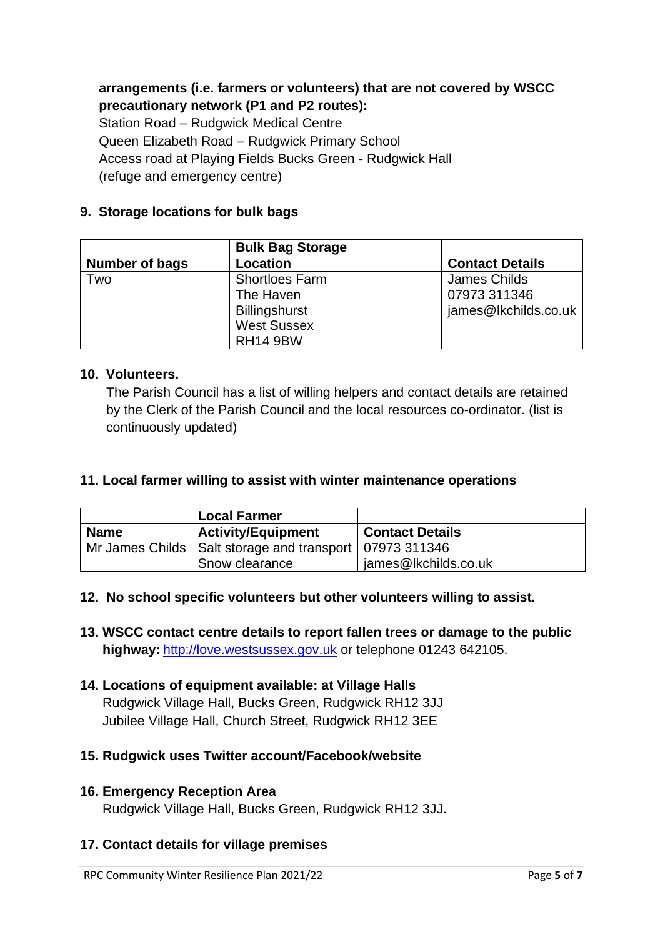#### **arrangements (i.e. farmers or volunteers) that are not covered by WSCC precautionary network (P1 and P2 routes):**

 Station Road – Rudgwick Medical Centre Queen Elizabeth Road – Rudgwick Primary School Access road at Playing Fields Bucks Green - Rudgwick Hall (refuge and emergency centre)

#### **9. Storage locations for bulk bags**

|                | <b>Bulk Bag Storage</b> |                        |
|----------------|-------------------------|------------------------|
| Number of bags | Location                | <b>Contact Details</b> |
| Two            | <b>Shortloes Farm</b>   | James Childs           |
|                | The Haven               | 07973 311346           |
|                | <b>Billingshurst</b>    | james@lkchilds.co.uk   |
|                | <b>West Sussex</b>      |                        |
|                | <b>RH14 9BW</b>         |                        |

#### **10. Volunteers.**

 The Parish Council has a list of willing helpers and contact details are retained by the Clerk of the Parish Council and the local resources co-ordinator. (list is continuously updated)

#### **11. Local farmer willing to assist with winter maintenance operations**

|             | <b>Local Farmer</b>                                         |                        |
|-------------|-------------------------------------------------------------|------------------------|
| <b>Name</b> | <b>Activity/Equipment</b>                                   | <b>Contact Details</b> |
|             | Mr James Childs   Salt storage and transport   07973 311346 |                        |
|             | Snow clearance                                              | james@lkchilds.co.uk   |

#### **12. No school specific volunteers but other volunteers willing to assist.**

- **13. WSCC contact centre details to report fallen trees or damage to the public highway:** [http://love.westsussex.gov.uk](http://love.westsussex.gov.uk/) or telephone 01243 642105.
- **14. Locations of equipment available: at Village Halls**  Rudgwick Village Hall, Bucks Green, Rudgwick RH12 3JJ Jubilee Village Hall, Church Street, Rudgwick RH12 3EE

#### **15. Rudgwick uses Twitter account/Facebook/website**

#### **16. Emergency Reception Area**

Rudgwick Village Hall, Bucks Green, Rudgwick RH12 3JJ.

#### **17. Contact details for village premises**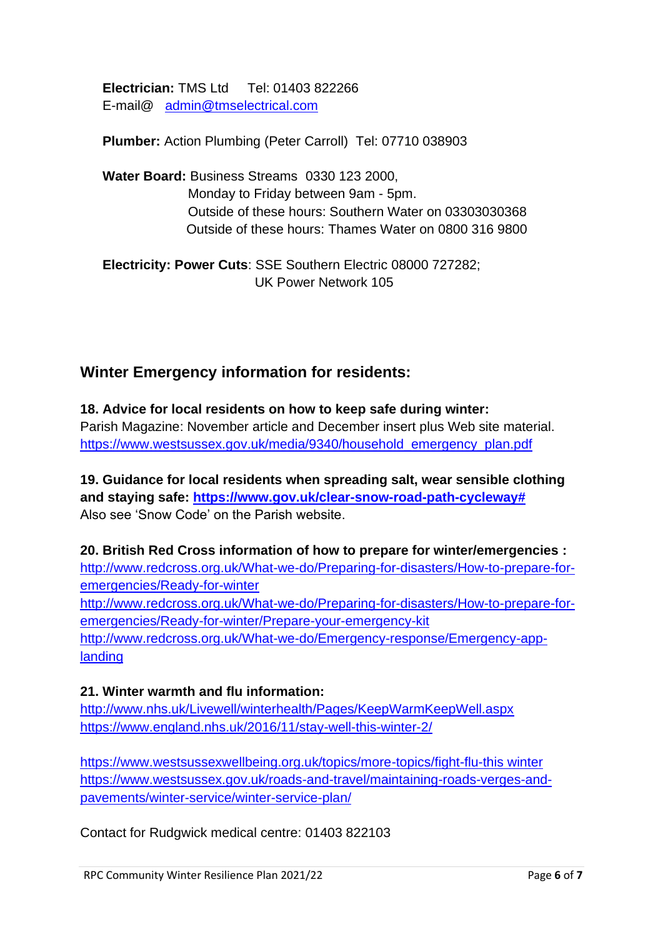**Electrician:** TMS Ltd Tel: 01403 822266 E-mail@[admin@tmselectrical.com](mailto:admin@tmselectrical.com)

 **Plumber:** Action Plumbing (Peter Carroll)Tel: 07710 038903

 **Water Board:** Business Streams 0330 123 2000, Monday to Friday between 9am - 5pm. Outside of these hours: Southern Water on 03303030368 Outside of these hours: Thames Water on 0800 316 9800

 **Electricity: Power Cuts**: SSE Southern Electric 08000 727282; UK Power Network 105

# **Winter Emergency information for residents:**

**18. Advice for local residents on how to keep safe during winter:** Parish Magazine: November article and December insert plus Web site material. [https://www.westsussex.gov.uk/media/9340/household\\_emergency\\_plan.pdf](https://www.westsussex.gov.uk/media/9340/household_emergency_plan.pdf)

**19. Guidance for local residents when spreading salt, wear sensible clothing and staying safe: [https://www.gov.uk/clear-snow-road-path-cycleway#](https://www.gov.uk/clear-snow-road-path-cycleway)** Also see 'Snow Code' on the Parish website.

**20. British Red Cross information of how to prepare for winter/emergencies :** [http://www.redcross.org.uk/What-we-do/Preparing-for-disasters/How-to-prepare-for](http://www.redcross.org.uk/What-we-do/Preparing-for-disasters/How-to-prepare-for-emergencies/Ready-for-winter)[emergencies/Ready-for-winter](http://www.redcross.org.uk/What-we-do/Preparing-for-disasters/How-to-prepare-for-emergencies/Ready-for-winter) [http://www.redcross.org.uk/What-we-do/Preparing-for-disasters/How-to-prepare-for](http://www.redcross.org.uk/What-we-do/Preparing-for-disasters/How-to-prepare-for-emergencies/Ready-for-winter/Prepare-your-emergency-kit)[emergencies/Ready-for-winter/Prepare-your-emergency-kit](http://www.redcross.org.uk/What-we-do/Preparing-for-disasters/How-to-prepare-for-emergencies/Ready-for-winter/Prepare-your-emergency-kit) [http://www.redcross.org.uk/What-we-do/Emergency-response/Emergency-app](http://www.redcross.org.uk/What-we-do/Emergency-response/Emergency-app-landing)[landing](http://www.redcross.org.uk/What-we-do/Emergency-response/Emergency-app-landing)

# **21. Winter warmth and flu information:**

<http://www.nhs.uk/Livewell/winterhealth/Pages/KeepWarmKeepWell.aspx> <https://www.england.nhs.uk/2016/11/stay-well-this-winter-2/>

[https://www.westsussexwellbeing.org.uk/topics/more-topics/fight-flu-this winter](https://www.westsussexwellbeing.org.uk/topics/more-topics/fight-flu-this%20winter%20https:/www.westsussex.gov.uk/roads-and-travel/maintaining-roads-verges-and-pavements/winter-service/winter-service-plan/)  [https://www.westsussex.gov.uk/roads-and-travel/maintaining-roads-verges-and](https://www.westsussexwellbeing.org.uk/topics/more-topics/fight-flu-this%20winter%20https:/www.westsussex.gov.uk/roads-and-travel/maintaining-roads-verges-and-pavements/winter-service/winter-service-plan/)[pavements/winter-service/winter-service-plan/](https://www.westsussexwellbeing.org.uk/topics/more-topics/fight-flu-this%20winter%20https:/www.westsussex.gov.uk/roads-and-travel/maintaining-roads-verges-and-pavements/winter-service/winter-service-plan/)

Contact for Rudgwick medical centre: 01403 822103